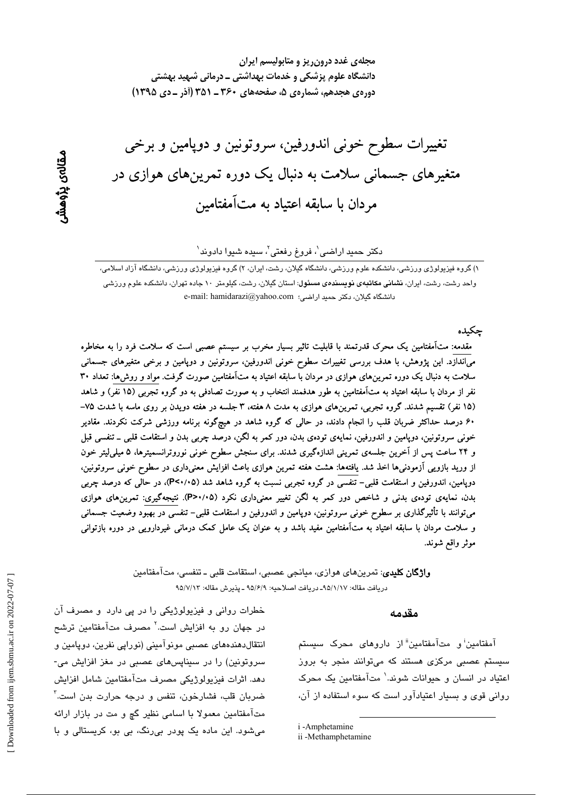مجلهی غدد درون ریز و متابولیسم ایران دانشگاه علوم پزشکی و خدمات بهداشتی ــ درمانی شهید بهشتی دوره ی هجدهم، شمارهی ۵، صفحههای ۳۶۰ ـ ۳۵۱ (آذر ـ دی ۱۳۹۵)

تغییرات سطوح خونی اندورفین، سروتونین و دوپامین و برخی متغیرهای جسمانی سلامت به دنبال یک دوره تمرینهای هوازی در مردان با سابقه اعتیاد به متآمفتامین

#### دکتر حمید اراضی'، فروغ رفعتی'، سیده شیوا دادوند`

۱) گروه فبزیولوژی ورزشی، دانشکده علوم ورزشی، دانشگاه گیلان، رشت، ایران، ۲) گروه فبزیولوژی ورزشی، دانشگاه آزاد اسلامی، واحد رشت، رشت، ایران، **نشانی مکاتبهی نویسند***هی* **مسئول**: استان گیلان، رشت، کیلومتر ۱۰ جاده تهران، دانشکده علوم ورزشی e-mail: hamidarazi@yahoo.com : دانشگاه گیلان، دکتر حمید اراضی:

حكىدە

مقدمه: متآمفتامین یک محرک قدرتمند با قابلیت تاثیر بسیار مخرب بر سیستم عصبی است که سلامت فرد را به مخاطره میاندازد. این پژوهش، با هدف بررسی تغییرات سطوح خونی اندورفین، سروتونین و دوپامین و برخی متغیرهای جسمانی سلامت به دنبال یک دوره تمرینهای هوازی در مردان با سابقه اعتیاد به متآمفتامین صورت گرفت. مواد و روش۵ا: تعداد ۳۰ نفر از مردان با سابقه اعتیاد به متآمفتامین به طور هدفمند انتخاب و به صورت تصادفی به دو گروه تجربی (۱۵ نفر) و شاهد (۱۵ نفر) تقسیم شدند. گروه تجربی، تمرینهای هوازی به مدت ۸ هفته، ۳ جلسه در هفته دویدن بر روی ماسه با شدت ۷۵– ۶۰ درصد حداکثر ضربان قلب را انجام دادند، در حالی که گروه شاهد در هیچگونه برنامه ورزشی شرکت نکردند. مقادیر خونی سروتونین، دوپامین و اندورفین، نمایهی تودهی بدن، دور کمر به لگن، درصد چربی بدن و استقامت قلبی ــ تنفسی قبل و ۲۴ ساعت پس از آخرین جلسهی تمرینی اندازهگیری شدند. برای سنجش سطوح خونی نوروترانسمیترها، ۵ میلی لیتر خون از ورید بازویی اَزمودنیها اخذ شد. یافتهها: هشت هفته تمرین هوازی باعث افزایش معنیداری در سطوح خونی سروتونین، دوپامین، اندورفین و استقامت قلبی- تنفسی در گروه تجربی نسبت به گروه شاهد شد (P<۰/۰۵)، در حالی که درصد چربی بدن، نمایهی تودهی بدنی و شاخص دور کمر به لگن تغییر معنیداری نکرد (P>۰/۰۵). نتیجهگیری: تمرینهای هوازی میتوانند با تأثیرگذاری بر سطوح خونی سروتونین، دوپامین و اندورفین و استقامت قلبی– تنفسی در بهبود وضعیت جسمانی و سلامت مردان با سابقه اعتیاد به متأمفتامین مفید باشد و به عنوان یک عامل کمک درمانی غیردارویی در دوره بازتوانی موثر واقع شوند.

> **واژگان کلیدی**: تمرینهای هوازی، میانجی عصبی، استقامت قلبی ــ تنفسی، متآمفتامین دريافت مقاله: ٩٥/١/١٧- دريافت اصلاحيه: ٩٥/۶/٩ ـ يذيرش مقاله: ٩٥/٧/١٣

#### مقدمه

آمفتامین<sup>:</sup> و متآمفتامین"از داروهای محرک سیستم سیستم عصبی مرکزی هستند که میتوانند منجر به بروز اعتیاد در انسان و حیوانات شوند.' متآمفتامین یک محرک روانی قوی و بسیار اعتیادآور است که سوء استفاده از آن،

i-Amphetamine

خطرات روانی و فیزیولوژیکی را در پی دارد و مصرف آن در جهان رو به افزایش است.<sup>۲</sup> مصرف متآمفتامین ترشح انتقال دهندههای عصبی مونوآمینی (نورایی نفرین، دویامین و سروتونین) را در سیناپسهای عصبی در مغز افزایش می-دهد. اثرات فيزيولوژيكي مصرف متآمفتامين شامل افزايش ضربان قلب، فشارخون، تنفس و درجه حرارت بدن است.<sup>۳</sup> متآمفتامین معمولا با اسامی نظیر گچ و مت در بازار ارائه میشود. این ماده یک پودر بی رنگ، بی بو، کریستالی و با

ii -Methamphetamine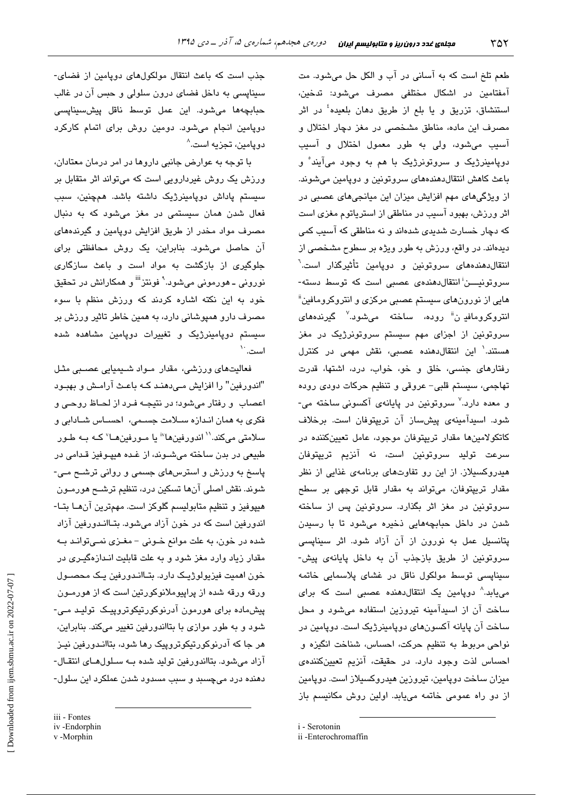طعم تلخ است که به آسانی در آب و الکل حل میشود. مت آمفتامين در اشكال مختلفى مصرف مىشود: تدخين، استنشاق، تزریق و یا بلع از طریق د*ه*ان بلعیده<sup>؛</sup> در اثر مصرف این ماده، مناطق مشخصی در مغز دچار اختلال و آسيب مى شود، ولى به طور معمول اختلال و آسيب دويامينرژيک و سروتونرژيک با هم به وجود ميآيند ْ و باعث کاهش انتقال دهندههای سروتونین و دوپامین میشوند. از ویژگیهای مهم افزایش میزان این میانجیهای عصبی در اثر ورزش، بهبود آسیب در مناطقی از استریاتوم مغزی است که دچار خسارت شدیدی شدهاند و نه مناطقی که آسیب کمی دیدهاند. در واقع، ورزش به طور ویژه بر سطوح مشخصی از انتقال دهندههای سروتونین و دویامین تأثیرگذار است.<sup>7</sup> سروتونیــــن<sup>:</sup> انتقالدهندهی عصبی است که توسط دسته-هایی از نورونهای سیستم عصبی مرکز*ی* و انتروکرومافین<sup>ة</sup> انتروکرومافد ن" روده، ساخته میشود.<sup>۷</sup> گیرندههای سروتونین از اجزای مهم سیستم سروتونرژیک در مغز هستند.' این انتقال،دهنده عصبی، نقش مهمی در کنترل رفتارهای جنسی، خلق و خو، خواب، درد، اشتها، قدرت تهاجمي، سيستم قلبي- عروقي و تنظيم حركات دودي روده و معده دارد.<sup>۷</sup> سروتونین در پایانهی آکسونی ساخته می-شود. اسبدآمینهی پیشساز آن تریپتوفان است. برخلاف کاتکولامینها مقدار تریپتوفان موجود، عامل تعیینکننده در سرعت توليد سروتونين است، نه آنزيم تريپتوفان هیدروکسیلاز. از این رو تفاوتهای برنامهی غذایی از نظر مقدار تریپتوفان، میتواند به مقدار قابل توجهی بر سطح سروتونین در مغز اثر بگذارد. سروتونین پس از ساخته شدن در داخل حبابچههایی ذخیره میشود تا با رسیدن پتانسیل عمل به نورون از آن آزاد شود. اثر سیناپسی سروتونين از طريق بازجذب آن به داخل پايانهى پيش-سيناپسى توسط مولكول ناقل در غشاى پلاسمايى خاتمه مییابد.^ دوپامین یک انتقالدهنده عصبی است که برای ساخت آن از اسیدآمینه تیروزین استفاده میشود و محل ساخت آن پایانه آکسونهای دوپامینرژیک است. دوپامین در نواحي مربوط به تنظيم حركت، احساس، شناخت انگيزه و احساس لذت وجود دارد. در حقیقت، آنزیم تعیینکنندهی میزان ساخت دویامین، تیروزین هیدروکسیلاز است. دویامین از دو راه عمومی خاتمه میبابد. اولین روش مکانیسم باز

i - Serotonin

جذب است که باعث انتقال مولکولهای دویامین از فضای-سیناپسی به داخل فضای درون سلولی و حبس آن در غالب ۔<br>حیاتچهھا مےشود، این عمل توسط ناقل پیش *س*ینای*سی* دوپامین انجام میشود. دومین روش برای اتمام کارکرد دويامين، تجزيه است.^

یا توجه به عوارض جانبی داروها در امر درمان معتادان، ورزش یک روش غیردارویی است که میتواند اثر متقابل بر سيستم پاداش دوپامينرژيک داشته باشد. همچنين، سبب فعال شدن همان سیستمی در مغز میشود که به دنبال مصرف مواد مخدر از طریق افزایش دوپامین و گیرندههای آن حاصل میشود. بنابراین، یک روش محافظتی برای جلوگیری از پازگشت به مواد است و پاعث سازگاری نورونی ــ هورمونی میشود.<sup>۹</sup> فونتز<sup>iii</sup> و همکارانش در تحقیق خود به این نکته اشاره کردند که ورزش منظم با سوء مصرف دارو هميوشاني دارد، په همين خاطر تاثير ورزش پر سیستم دوپامینرژیک و تغییرات دوپامین مشاهده شده است.`

فعالیتهای ورزشی، مقدار مـواد شـیمیایی عصـبی مثـل "اندورفین" را افزایش مـیدهنـد کـه باعـث آرامـش و بهبـود اعصاب و رفتار میشود؛ در نتیجه فرد از لحاظ روحی و فكرى به همان اندازه سلامت جسمى، احساس شادابى و سلامتی میکند.'` اندورفین۱'' یا مـورفین۱سا' کـه بـه طـور طبيعي در بدن ساخته مي شـوند، از غـده هيپـوفيز قـدامي در یاسخ به ورزش و استرسهای جسمی و روانی ترشـح مـی-شوند. نقش اصلي آنها تسكين درد، تنظيم ترشــح هورمــون هيپوفيز و تنظيم متابوليسم گلوكز است. مهمترين آنهـا بتـا-اندورفین است که در خون آزاد میشود. بتـاانـدورفین آزاد شده در خون، به علت موانع خــونى - مغــزى نمــىتوانــد بــه مقدار زیاد وارد مغز شود و به علت قابلیت انـدازهگیـری در خون اهميت فيزيولوژيـک دارد. بٽـاانـدورفين يـک محصــول ورقه ورقه شده از پراپیوملانوکورتین است که از هورمــون پیش،ادہ برای ہورمون آدرنوکورتیکوتروپیک تولید مے-شود و به طور موازی با بتااندورفین تغییر میکند. بنابراین، هر جا که آدرنوکورتیکوتروپیک رها شود، بتاانـدورفین نیـز آزاد می شود. بتااندورفین تولید شده بـه سـلولهـای انتقـال-دهنده درد می چسبد و سبب مسدود شدن عملکرد این سلول-

v-Morphin

ii -Enterochromaffin

iii - Fontes iv-Endorphin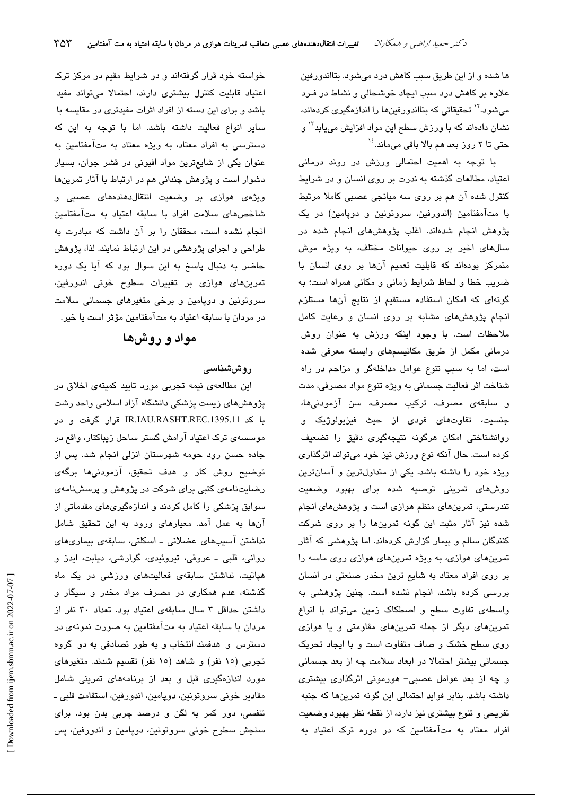ها شده و از این طریق سبب کاهش درد میشود. بتااندورفین علاوه بر کاهش درد سبب ایجاد خوشحالی و نشاط در فـرد می شود.<sup>۱۲</sup> تحقیقاتی که بتااندورفینها را اندازهگیری کردهاند، نشان دادهاند که با ورزش سطح این مواد افزایش مییابد<sup>۱۳</sup> و حتی تا ۲ روز بعد هم بالا باقی میماند.<sup>۱۶</sup>

با توجه به اهمیت احتمالی ورزش در روند درمانی اعتیاد، مطالعات گذشته به ندرت بر روی انسان و در شرایط کنترل شده آن هم بر روی سه میانجی عصبی کاملا مرتبط با متآمفتامین (اندورفین، سروتونین و دوپامین) در یک پژوهش انجام شدهاند. اغلب پژوهشهای انجام شده در سالهای اخیر بر روی حیوانات مختلف، به ویژه موش متمرکز بودهاند که قابلیت تعمیم آنها بر روی انسان با ضریب خطا و لحاظ شرایط زمانی و مکانی همراه است؛ به گونهای که امکان استفاده مستقیم از نتایج آنها مستلزم انجام پژوهشهای مشابه بر روی انسان و رعایت کامل ملاحظات است. با وجود اینکه ورزش به عنوان روش درمانی مکمل از طریق مکانیسمهای وابسته معرفی شده است، اما به سبب تنوع عوامل مداخلهگر و مزاحم در راه شناخت اثر فعالیت جسمانی به ویژه تنوع مواد مصرفی، مدت و سابقهی مصرف، ترکیب مصرف، سن آزمودنیها، جنسیت، تفاوتهای فردی از حیث فیزیولوژیک و روانشناختی امکان هرگونه نتیجهگیری دقیق را تضعیف كرده است. حال آنكه نوع ورزش نيز خود مى تواند اثرگذارى ویژه خود را داشته باشد. یکی از متداولترین و آسانترین روشهای تمرینی توصیه شده برای بهبود وضعیت تندرستی، تمرینهای منظم هوازی است و پژوهشهای انجام شده نیز آثار مثبت این گونه تمرینها را بر روی شرکت کنندگان سالم و بیمار گزارش کردهاند. اما پژوهشی که آثار تمرینهای هوازی، به ویژه تمرینهای هوازی روی ماسه را بر روی افراد معتاد به شایع ترین مخدر صنعتی در انسان بررسی کرده باشد، انجام نشده است. چنین پژوهشی به واسطهى تفاوت سطح و اصطكاك زمين مى تواند با انواع تمرینهای دیگر از جمله تمرینهای مقاومتی و یا هوازی روی سطح خشک و صاف متفاوت است و با ایجاد تحریک جسمانی بیشتر احتمالا در ابعاد سلامت چه از بعد جسمانی و چه از بعد عوامل عصبی- هورمونی اثرگذاری بیشتری داشته باشد. بنابر فواید احتمالی این گونه تمرینها که جنبه تفریحی و تنوع بیشتری نیز دارد، از نقطه نظر بهبود وضعیت افراد معتاد به متآمفتامین که در دوره ترک اعتیاد به

خواسته خود قرار گرفتهاند و در شرایط مقیم در مرکز ترک اعتیاد قابلیت کنترل بیشتری دارند، احتمالا میتواند مفید باشد و برای این دسته از افراد اثرات مفیدتری در مقایسه با سایر انواع فعالیت داشته باشد. اما با توجه به این که دسترسی به افراد معتاد، به ویژه معتاد به متآمفتامین به عنوان یکی از شایعترین مواد افیونی در قشر جوان، بسیار دشوار است و پژوهش چندانی هم در ارتباط با آثار تمرینها ویژهی هوازی بر وضعیت انتقال دهندههای عصبی و شاخص های سلامت افراد با سابقه اعتیاد به متآمفتامین انجام نشده است، محققان را بر آن داشت که مبادرت به طراحی و اجرای پژوهشی در این ارتباط نمایند. لذا، پژوهش حاضر به دنبال پاسخ به این سوال بود که آیا یک دوره تمرینهای هوازی بر تغییرات سطوح خونی اندورفین، سروتونین و دوپامین و برخی متغیرهای جسمانی سلامت در مردان با سابقه اعتیاد به متآمفتامین مؤثر است یا خیر.

# مواد و روشها

## روششناسى

این مطالعهی نیمه تجربی مورد تایید کمیتهی اخلاق در پژوهشهای زیست پزشکی دانشگاه آزاد اسلامی واحد رشت با کد IR.IAU.RASHT.REC.1395.11 قرار گرفت و در موسسه ی ترک اعتیاد آرامش گستر ساحل زیباکنار، واقع در جاده حسن رود حومه شهرستان انزلی انجام شد. پس از توضیح روش کار و هدف تحقیق، آزمودنیها برگهی رضایتنامهی کتبی برای شرکت در پژوهش و پرسشنامهی سوابق پزشکی را کامل کردند و اندازهگیریهای مقدماتی از آنها به عمل آمد. معیارهای ورود به این تحقیق شامل نداشتن آسیبهای عضلانی ـ اسکلتی، سابقهی بیماریهای روانی، قلبی ـ عروقی، تیروئیدی، گوارشی، دیابت، ایدز و هپاتیت، نداشتن سابقهی فعالیتهای ورزشی در یک ماه گذشته، عدم همکاری در مصرف مواد مخدر و سیگار و داشتن حداقل ٣ سال سابقهى اعتياد بود. تعداد ٣٠ نفر از مردان با سابقه اعتیاد به متآمفتامین به صورت نمونهی در دسترس و هدفمند انتخاب و به طور تصادفی به دو گروه تجربی (١٥ نفر) و شاهد (١٥ نفر) تقسیم شدند. متغیرهای مورد اندازهگیری قبل و بعد از برنامههای تمرینی شامل مقادیر خونی سروتونین، دوپامین، اندورفین، استقامت قلبی ــ تنفسی، دور کمر به لگن و درصد چربی بدن بود. برای سنجش سطوح خونی سروتونین، دوپامین و اندورفین، پس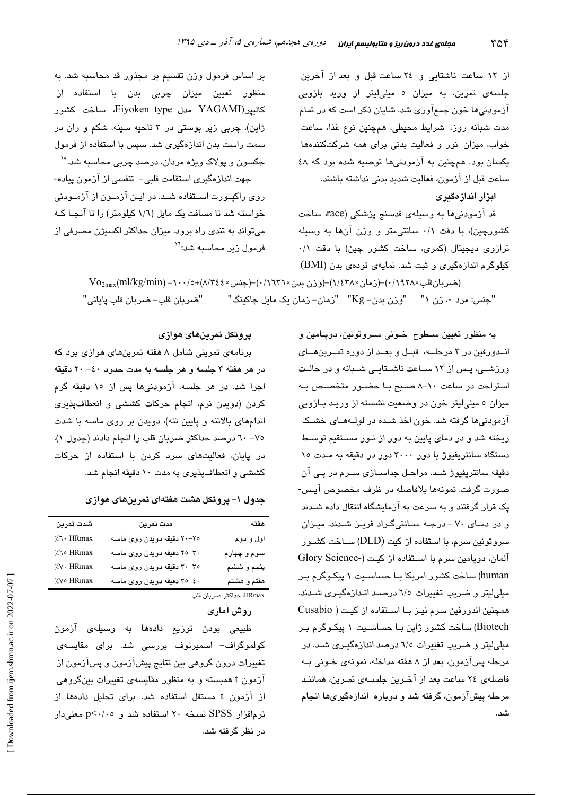از ١٢ ساعت ناشتايي و ٢٤ ساعت قبل و بعد از آخرين جلسه*ی* تمرین، به میزان ٥ میلی!یتر از ورید بازویی آزمودنیها خون جمعآوری شد. شایان ذکر است که در تمام مدت شبانه روز، شرايط محيطى، همچنين نوع غذا، ساعت خواب، میزان نور و فعالیت بدنی برای همه شرکتکنندهها یکسان بود. همچنین به آزمودنیها توصیه شده بود که ٤٨ ساعت قبل از آزمون، فعاليت شديد بدني نداشته باشند.

ابزار اندازهگیری

قد آزمودنیها به وسیلهی قدسنج پزشکی (race، ساخت کشورچین)، با دقت ۰/۱ سانتی متر و وزن آنها به وسیله ترازوی دیجیتال (کمری، ساخت کشور چین) با دقت ۰/۱ کیلوگرم اندازهگیری و ثبت شد. نمایهی تودهی بدن (BMI)

بر اساس فرمول وزن تقسیم بر مجذور قد محاسبه شد. به منظور تعیین میزان چربی بدن با استفاده از كاليير (YAGAMI مدل Eiyoken type، ساخت كشور ژاپن)، چربی زیر پوستی در ۳ ناحیه سینه، شکم و ران در سمت راست بدن اندازهگیری شد. سپس با استفاده از فرمول جکسون و پولاک ویژه مردان، درصد چربی محاسبه شد.<sup>۱٬</sup>

جهت اندازهگیری استقامت قلبی- تنفسی از آزمون پیاده-روی راکپـورت اســتفاده شــد. در ایــن آزمــون از آزمــودنی خواسته شد تا مسافت یک مایل (١/٦ کیلومتر) را تا آنجیا کیه میتواند به تندی راه برود. میزان حداکثر اکسیژن مصرفی از فرمول زیر محاسبه شد:<sup>۱۲</sup>

> $\mathrm{Vo}_{2\text{max}}(\text{ml/kg/min}) = \cdot \cdot \cdot / \circ + (\wedge / \tau \epsilon \epsilon \times \text{min}) - (\cdot / \tau \tau \tau \times \text{max}) - (\cdot / \epsilon \tau \wedge \text{max}) - (\cdot / \tau \tau \wedge \text{max})$ (ضربان قلب "جنس: مرد ٠، زن ١" "وزن بدن= Kg" "زمان= زمان يک مايل جاکينگ" "ضربان قلب= ضربان قلب ياباني"

> > به منظور تعیین سطوح خـونی سـروتونین، دوپـامین و اندورفین در ۲ مرحلــه، قبـل و بعـد از دوره تمـرینهــای ورزشمی، پس از ۱۲ سـاعت ناشـتایـی شـبانه و در حالـت استراحت در ساعت ١٠-٨ صبح بـا حضـور متخصـص بـه میزان ٥ میلی لیتر خون در وضعیت نشسته از وریـد بـازویی آزمودنی ها گرفته شد. خون اخذ شده در لولـههـای خشـک ریخته شد و در دمای پایین به دور از نـور مسـتقیم توسـط دستگاه سانتریفیوژ با دور ۳۰۰۰ دور در دقیقه به مـدت ۱۵ دقيقه سانٽريفيوڙ شـد. مراحـل جداســازی ســرم در پـی آن صورت گرفت. نمونهها بلافاصله در ظرف مخصوص آيس-یک قرار گرفتند و به سرعت به آزمایشگاه انتقال داده شـدند و در دمـای ۷۰ - درجـه سـانتیگـراد فریـز شـدند. میـزان سروتونین سرم، با استفاده از کیت (DLD) ســاخت کشــور آلمان، دويامين سرم با استفاده از كيت (-Glory Science human) ساخت کشور امریکا بـا حساسـیت ۱ پیکـوگرم بـر میلی لیتر و ضریب تغییرات ٦/٥ درصد اندازهگیری شدند. همچنین اندورفین سرم نیـز بـا اسـتفاده از کیـت ( Cusabio Biotech) ساخت کشور ژاپن بـا حساسـيت ۱ پيکـوگرم بـر میلی لیتر و ضریب تغییرات ٦/٥ درصد اندازهگیـری شـد. در مرحله پسآزمون، بعد از ۸ هفته مداخله، نمونهی خـونی بـه فاصلهی ٢٤ ساعت بعد از آخـرین جلسـهی تمـرین، هماننـد مرحله پیشآزمون، گرفته شد و دوباره اندازهگیریها انجام شد.

#### يروتكل تمرينهاى هوازى

برنامهی تمرینی شامل ۸ هفته تمرینهای هوازی بود که در هر هفته ۳ جلسه و هر جلسه به مدت حدود ٤٠ - ٢٠ دقيقه اجرا شد. در هر جلسه، آزمودنیها پس از ۱۰ دقیقه گرم كردن (دويدن نرم، انجام حركات كششى و انعطافپذيرى اندامهای بالاتنه و پایین تنه)، دویدن بر روی ماسه با شدت ۷۵– ٦٠ درصد حداکثر ضربان قلب را انجام دادند (جدول ۱). در پایان، فعالیتهای سرد کردن با استفاده از حرکات کششی و انعطاف پذیری به مدت ۱۰ دقیقه انجام شد.

جدول ۱– یروتکل هشت هفتهای تمرینهای هوازی

| شدت تمرين          | مدت تمرين                  | هفته                    |
|--------------------|----------------------------|-------------------------|
| ハ· HRmax           | ٢٥–٢٠ دقيقه دويدن روى ماسه | اول و دوم               |
| $\lambda$ י. HRmax | ٢٠–٢٥ دقيقه دويدن روى ماسه | سوم و چهارم             |
| XV · HRmax         | ٣٠-٣٠ دقيقه دويدن روى ماسه | پنجم و ششم              |
| %∨o HRmax          | ٤٠-٣٥ دقيقه دويدن روى ماسه | هفتم و هشتم             |
|                    |                            | HRmax: حداکثر ضربان قلب |

روش آماری

طب**یع**ی بودن توزیع دادهها به وسب<u>ل</u>هی آزمون کولموگراف– اسمبرنوف بررسے شد. برای مقابسهی تغییرات درون گروهی بین نتایج پیشآزمون و پسآزمون از آزمون t همبسته و به منظور مقایسهی تغییرات بینگروهی از آزمون t مستقل استفاده شد. برای تحلیل دادهها از نرمافزار SPSS نسخه ۲۰ استفاده شد و p<۰/۰۵ معنىدار در نظر گرفته شد.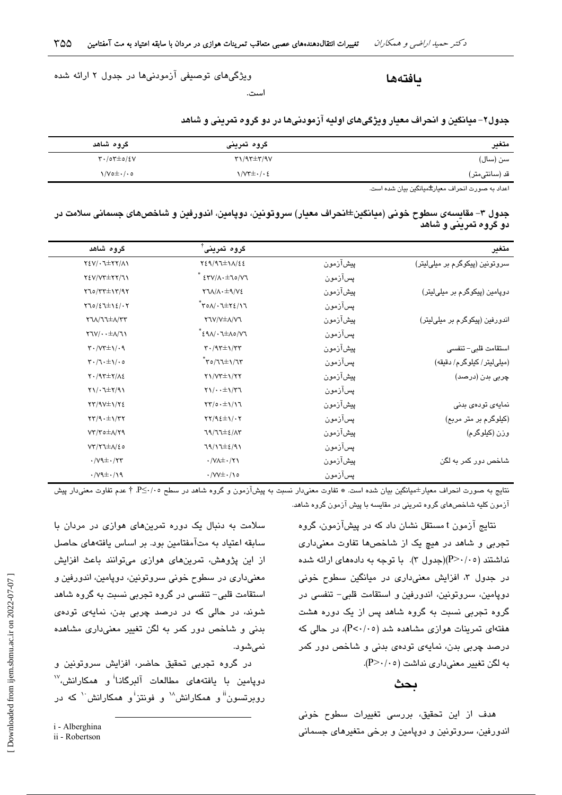بافتهها

ویژگیهای توصیفی آزمودنیها در جدول ۲ ارائه شده

است.

|  | جدول۲- میانگین و انحراف معیار ویژگیهای اولیه ازمودنیها در دو گروه تمرینی و شاهد |
|--|---------------------------------------------------------------------------------|
|  |                                                                                 |

| متغير                                                                                                                                                                                                                            | گروہ تمرینی                                                 | گروه شاهد                                                                    |
|----------------------------------------------------------------------------------------------------------------------------------------------------------------------------------------------------------------------------------|-------------------------------------------------------------|------------------------------------------------------------------------------|
| سن (سال)                                                                                                                                                                                                                         | $\Upsilon\Upsilon\Upsilon\pm\Upsilon\wedge\Upsilon\Upsilon$ | $\mathsf{r}\cdot\mathsf{r}\circ\mathsf{r}\pm\mathsf{o}/\mathsf{e}\mathsf{v}$ |
| قد (سانتی،تر)                                                                                                                                                                                                                    | <b>\/V۳±</b> + / • ٤                                        | $\sqrt{V}$ o $\pm$ $\cdot$ / $\cdot$ o                                       |
| $\mathbf{a}$ , and the set of the set of the set of the set of the set of the set of the set of the set of the set of the set of the set of the set of the set of the set of the set of the set of the set of the set of the set |                                                             |                                                                              |

اعداد به صورت انحراف معیار±میانگین بیان شده است.

جدول ۳– مقایسهی سطوح خونی (میانگین±انحراف معیار) سروتونین، دوپامین، اندورفین و شاخصهای جسمانی سلامت در دو گروه تمرینی و شاهد

| متغير                          |          | گروہ تمرینی                                                                     | گروہ شاھد                                                             |
|--------------------------------|----------|---------------------------------------------------------------------------------|-----------------------------------------------------------------------|
| سروتونین (پیکوگرم بر میلیلیتر) | پیشازمون | $Y\S9/11\pm11/\xi\S$                                                            | $Y \& Y / \cdot 1 \pm Y Y / \Lambda$                                  |
|                                | پسآزمون  | $\mathcal{N} \setminus \mathcal{N} \rightarrow \mathcal{N}$                     | TEV/VT±TY/JI                                                          |
| دوپامین (پیکوگرم بر میلیلیتر)  | پیشآزمون | $Y1\Lambda/\Lambda \cdot \pm 9/V$                                               | $Y70/TT\pm17/97$                                                      |
|                                | پسآزمون  | $\tilde{\mathcal{T}}$ ۲٥۸/۰٦ $\pm$ ۲٤/۱٦                                        | $Y10/\xi J \pm 1\xi/\cdot Y$                                          |
| اندورفین (پیکوگرم بر میلیلیتر) | پیشآزمون | <b>YVVVIIVIVI</b>                                                               | $Y7\lambda/TT\pm\Lambda/7T$                                           |
|                                | پسآزمون  | • {۹۸/۰٦±٨٥/۷٦}                                                                 | $Y7V/\cdot \pm \Lambda/T$                                             |
| استقامت قلبی– تنفسی            | پيشآزمون | $\mathbf{Y} \cdot (\mathbf{I} \mathbf{X} \pm \mathbf{I})/\mathbf{I} \mathbf{Y}$ | $\mathsf{r}\cdot\mathsf{V}\mathsf{r}\pm\mathsf{V}\cdot\mathsf{q}$     |
| (میلی لیتر/ کیلوگرم/ دقیقه)    | پسآزمون  | $\mathsf{r}_{\mathsf{C}}/\mathsf{C}$                                            | $\mathbf{Y} \cdot (\mathbf{1} \cdot \pm \mathbf{1}) \cdot \mathbf{0}$ |
| چربی بدن (درصد)                | پيشآزمون | $Y1/YT\pm1/YY$                                                                  | $Y \cdot / 97 \pm 7 / 12$                                             |
|                                | پسآزمون  | $\gamma$                                                                        | $Y1/\cdot1\pm Y/91$                                                   |
| نمايەي تودەي بدنى              | پیشآزمون | $\Upsilon/\circ \cdot \pm \Upsilon/\Upsilon$                                    | $YY/9V\pm 1/Y$                                                        |
| (کیلوگرم بر متر مربع)          | پسآزمون  | $\Upsilon\Upsilon/9\epsilon\pm\Upsilon/\cdot\Upsilon$                           | $\tau\tau/9. \pm 1/\tau\tau$                                          |
| وزن (کیلوگرم)                  | پیشآزمون | $79/77\pm2/17$                                                                  | $VT/T$ $\triangleq$ $\Lambda/T$ ۹                                     |
|                                | پسآزمون  | $79/17\pm2/91$                                                                  | $VT/T\pm\Lambda/\epsilon$                                             |
| شاخص دور کمر به لگن            | پيشآزمون | $\cdot$ /VA $\pm$ $\cdot$ /۲۱                                                   | $\cdot$ / $V$ ۹ $\pm$ $\cdot$ /۲۳                                     |
|                                | پسازمون  | $\cdot$ /VV $\pm$ $\cdot$ /\o                                                   | $\cdot$ / $\sqrt{4}$ $\pm$ $\cdot$ /19                                |

نتایج به صورت انحراف معیار±میانگین بیان شده است. ☀ تفاوت معنیدار نسبت به پیشآزمون و گروه شاهد در سطح ٢٤٠/٠٥ † عدم تفاوت معنیدار پیش آزمون کلیه شاخصهای گروه تمرینی در مقایسه با پیش آزمون گروه شاهد.

> نتایج آزمون t مستقل نشان داد که در پیشآزمون، گروه تجربي و شاهد در هيچ يک از شاخصها تفاوت معنى دارى نداشتند (۲۰/۰۵)(جدول ۳). با توجه به دادههای ارائه شده در جدول ۳، افزایش معنیداری در میانگین سطوح خونی دوپامین، سروتونین، اندورفین و استقامت قلبی- تنفسی در گروه تجربی نسبت به گروه شاهد پس از یک دوره هشت هفتهای تمرینات هوازی مشاهده شد (P<۰/۰۵)، در حالی که درصد چربی بدن، نمایهی تودهی بدنی و شاخص دور کمر به لگن تغییر معنی داری نداشت (۲۰/۰۵).

#### ىحث

هدف از این تحقیق، بررسی تغییرات سطوح خونی اندورفین، سروتونین و دوپامین و برخی متغیرهای جسمانی

سلامت به دنبال یک دوره تمرینهای هوازی در مردان با سابقه اعتباد به متآمفتامین بود. بر اساس بافتههای حاصل از این پژوهش، تمرینهای هوازی میتوانند باعث افزایش معنیداری در سطوح خونی سروتونین، دوپامین، اندورفین و استقامت قلبی– تنفسی در گروه تجربی نسبت به گروه شاهد شوند، در حالی که در درصد چربی بدن، نمایهی تودهی بدنی و شاخص دور کمر به لگن تغییر معنیداری مشاهده نمے شوں.

در گروه تجربی تحقیق حاضر، افزایش سروتونین و دویامین با یافتههای مطالعات آلبرگانـا<sup>i</sup>و همکارانش،<sup>۱۷</sup> روبرتسون<sup>ii</sup> و همکارانش<sup>۱۸</sup> و فونتز<sup>i</sup>و همکارانش <sup>۱۰</sup> که در

i - Alberghina

ii - Robertson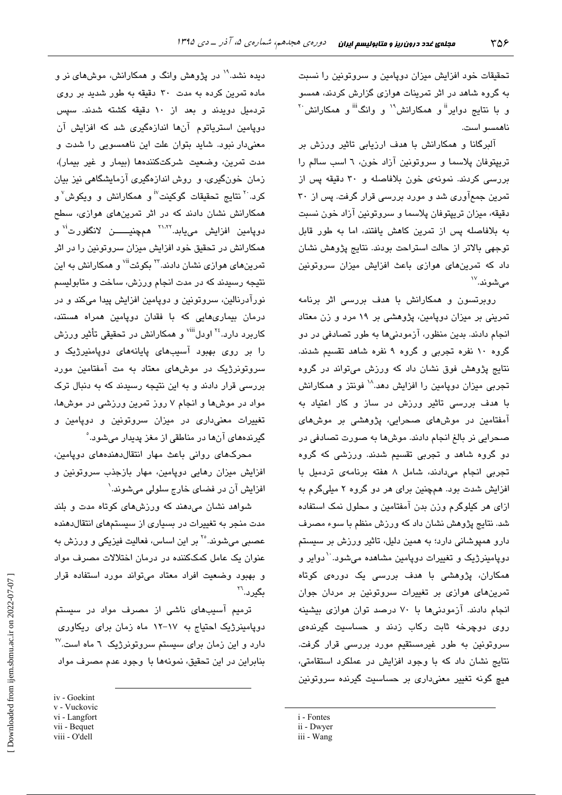تحقیقات خود افزایش میزان دوپامین و سروتونین را نسبت به گروه شاهد در اثر تمرینات هوازی گزارش کردند، همسو و با نتایج دوایر<sup>ان</sup>و همکارانش<sup>۱۹</sup> و وانگ<sup>انا</sup>و همکارانش'<sup>۲</sup> ناھمسو است.

آلبرگانا و همکارانش با هدف ارزیابی تاثیر ورزش بر تریپتوفان پلاسما و سروتونین آزاد خون، ٦ اسب سالم را بررسی کردند. نمونهی خون بلافاصله و ۳۰ دقیقه پس از تمرین جمعآوری شد و مورد بررسی قرار گرفت. پس از ۳۰ دقیقه، میزان تریپتوفان پلاسما و سروتونین آزاد خون نسبت به بلافاصله پس از تمرین کاهش یافتند، اما به طور قابل توجهی بالاتر از حالت استراحت بودند. نتایج پژوهش نشان داد که تمرینهای هوازی باعث افزایش میزان سروتونین مے شوند. ```

روبرتسون و همکارانش با هدف بررسی اثر برنامه تمرینی بر میزان دویامین، پژوهشی بر ۱۹ مرد و زن معتاد انجام دادند. بدین منظور، آزمودنیها به طور تصادفی در دو گروه ۱۰ نفره تجربی و گروه ۹ نفره شاهد تقسیم شدند. نتایج پژوهش فوق نشان داد که ورزش میتواند در گروه تجربی میزان دوپامین را افزایش دهد.^` فونتز و همکارانش با هدف بررسی تاثیر ورزش در ساز و کار اعتیاد به آمفتامین در موشهای صحرایی، پژوهشی بر موشهای صحرایی نر بالغ انجام دادند. موشها به صورت تصادفی در دو گروه شاهد و تجربی تقسیم شدند. ورزشی که گروه تجربی انجام میدادند، شامل ۸ هفته برنامهی تردمیل با افزایش شدت بود. همچنین برای هر دو گروه ۲ میلیگرم به ازای هر کیلوگرم وزن بدن آمفتامین و محلول نمک استفاده شد. نتایج پژوهش نشان داد که ورزش منظم با سوء مصرف دارو همپوشانی دارد؛ به همین دلیل، تاثیر ورزش بر سیستم دویامینرژیک و تغییرات دویامین مشاهده میشود. ``دوایر و همکاران، پژوهشی با هدف بررسی یک دورهی کوتاه تمرینهای هوازی بر تغییرات سروتونین بر مردان جوان انجام دادند. آزمودنیها با ۷۰ درصد توان هوازی بیشینه روی دوچرخه ثابت رکاب زدند و حساسیت گیرندهی سروتونین به طور غیرمستقیم مورد بررسی قرار گرفت. نتایج نشان داد که با وجود افزایش در عملکرد استقامتی، هيچ گونه تغيير معنىدارى بر حساسيت گيرنده سروتونين

- i Fontes
- ii Dwyer
- iii Wang

دیده نشد.<sup>۱۹</sup> در پژوهش وانگ و همکارانش، موشهای نر و ماده تمرین کرده به مدت ۳۰ دقیقه به طور شدید بر روی تردمیل دویدند و بعد از ۱۰ دقیقه کشته شدند. سپس دویامین استریاتوم آنها اندازهگیری شد که افزایش آن معنیدار نبود. شاید بتوان علت این ناهمسویی را شدت و مدت تمرین، وضعیت شرکتکنندهها (بیمار و غیر بیمار)، زمان خونگیری، و روش اندازهگیری آزمایشگاهی نیز بیان کرد.<sup>۲۰</sup> نتایج تحقیقات گوکینت<sup>۱۷</sup> و همکارانش و ویکوش<sup>۷</sup> و همکارانش نشان دادند که در اثر تمرینهای هواز*ی،* سطح دوپامین افزایش مییابد.<sup>۲۱٬۲۲</sup> هم<u>چ</u>نیــــــــن لانگفورت<sup>'۷</sup> و همکارانش در تحقیق خود افزایش میزان سروتونین را در اثر تمرینهای هوازی نشان دادند.۳<sup>۲</sup> یکوئت<sup>ii</sup> و همکارانش به این نتیجه رسیدند که در مدت انجام ورزش، ساخت و متابولیسم نورآدرنالین، سروتونین و دوپامین افزایش پیدا میکند و در درمان بیماریهایی که با فقدان دویامین همراه هستند، کاربرد دارد.<sup>۲٤</sup> اودل<sup>٬۷ii</sup> و همکارانش در تحقیقی تأثیر ورزش را بر روی بهبود آسیبهای پایانههای دوپامنیرژیک و سروتونرژیک در موشهای معتاد به مت آمفتامین مورد بررسی قرار دادند و به این نتیجه رسیدند که به دنبال ترک مواد در موشها و انجام ۷ روز تمرین ورزشی در موشها، تغییرات معنی،داری در میزان سروتونین و دویامین و گیرندههای آنها در مناطقی از مغز پدیدار میشود. ْ

محرکهای روانی باعث مهار انتقال دهندههای دوپامین، افزایش میزان رهایی دوپامین، مهار بازجذب سروتونین و افزایش آن در فضای خارج سلولی میشوند.`

شواهد نشان میدهند که ورزشهای کوتاه مدت و بلند مدت منجر به تغییرات در بسیاری از سیستمهای انتقال دهنده عصبی میشوند.°<sup>۲</sup> بر این اساس، فعالیت فیزیکی و ورزش به عنوان یک عامل کمککننده در درمان اختلالات مصرف مواد و بهبود وضعیت افراد معتاد می تواند مورد استفاده قرار بگیرد.'``

ترمیم آسیبهای ناشی از مصرف مواد در سیستم دویامینرژیک احتیاج به ۱۷-۱۲ ماه زمان برای ریکاوری  $^{\rm V}$ دارد و این زمان برای سیستم سروتونرژیک ۲ ماه است. بنابراین در این تحقیق، نمونهها با وجود عدم مصرف مواد

iv - Goekint v - Vuckovic vi - Langfort vii - Bequet viii - O'dell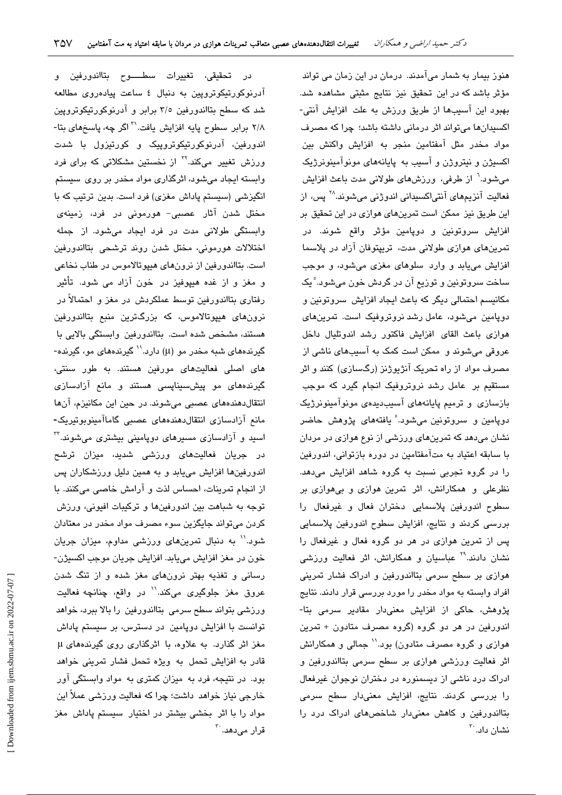در تحقیقی، تغییرات سطـــــوح بتااندورفین و آدرنوکورتیکوتروپین به دنبال ٤ ساعت پیادهروی مطالعه شد که سطح بتااندورفین ۳/٥ برابر و آدرنوکورتیکوتروپین ۲/۸ برابر سطوح پایه افزایش یافت.<sup>۳۱</sup> اگر چه، پاسخهای بتا-اندورفین، آدرنوکورتیکوتروپیک و کورتیزول با شدت ورزش تغییر میکند.<sup>۲۲</sup> از نخستین مشکلاتی که برا*ی* فرد وابسته ایجاد میشود، اثرگذاری مواد مخدر بر روی سیستم انگیزشی (سیستم پاداش مغزی) فرد است. بدین ترتیب که با مختل شدن آثار عصبی- هورمونی در فرد، زمینه*ی* وابستگی طولانی مدت در فرد ایجاد میشود. از جمله اختلالات هورموني، مختل شدن روند ترشحي بتااندورفين است. بتااندورفین از نرونهای هیپوتالاموس در طناب نخاعی و مغز و از غده هیپوفیز در خون آزاد می شود. تأثیر رفتاری بتااندورفین توسط عملکردش در مغز و احتمالاً در نرونهای هیپوتالاموس، که بزرگترین منبع بتااندورفین هستند، مشخص شده است. بتااندورفین وابستگی بالایی با گیرندههای شبه مخدر مو (µ) دارد.<sup>۱٬</sup> گیرندههای مو، گیرنده-های اصلی فعالیتهای مورفین هستند. به طور سنتی، گیرندههای مو پیشسیناپسی هستند و مانع آزادسازی انتقال دهندههای عصبی می شوند. در حین این مکانیزم، آنها مانع آزادسازی انتقال دهندههای عصبی گاماآمینوبوتیریک-اسید و آزادسازی مسیرهای دوپامینی بیشتری میشوند.<sup>۳۲</sup> در جریان فعالیتهای ورزشی شدید، میزان ترشح اندورفینها افزایش مییابد و به همین دلیل ورزشکاران پس از انجام تمرینات، احساس لذت و آرامش خاصی میکنند. با توجه به شباهت بین اندورفینها و ترکیبات افیونی، ورزش کردن میتواند جایگزین سوء مصرف مواد مخدر در معتادان شود.'' به دنبال تمرینهای ورزشی مداوم، میزان جریان خون در مغز افزايش مييابد. افزايش جريان موجب اكسيژن-رسانی و تغذیه بهتر نرونهای مغز شده و از تنگ شدن عروق مغز جلوگیری میکند.<sup>\\</sup> در واقع، چنانچه فعالیت ورزشی بتواند سطح سرمی بتااندورفین را بالا ببرد، خواهد توانست با افزایش دوپامین در دسترس، بر سیستم پاداش مغز اثر گذارد. به علاوه، با اثرگذاری روی گیرندههای µ قادر به افزایش تحمل به ویژه تحمل فشار تمرینی خواهد بود. در نتیجه، فرد به میزان کمتری به مواد وابستگی آور خارجی نیاز خواهد داشت؛ چرا که فعالیت ورزشی عملاً این مواد را با اثر بخشی بیشتر در اختیار سیستم پاداش مغز قرار مے دھد. `<sup>۲</sup>

هنوز بیمار به شمار میآمدند. درمان در این زمان می تواند مؤثر باشد که در این تحقیق نیز نتایج مثبتی مشاهده شد. بهبود این آسیبها از طریق ورزش به علت افزایش آنتی-اکسیدانها میتواند اثر درمانی داشته باشد؛ چرا که مصرف مواد مخدر مثل آمفتامین منجر به افزایش واکنش بین اکسیژن و نیتروژن و آسیب به پایانههای مونوآمینونرژیک میشود.<sup>٦</sup> از طرفی، ورزشهای طولانی مدت باعث افزایش فعالیت آنزیمهای آنتیاکسیدانی اندوژنی میشوند.<sup>۲۸</sup> پس، از این طریق نیز ممکن است تمرینهای هوازی در این تحقیق بر افزایش سروتونین و دوپامین مؤثر واقع شوند. در تمرینهای هوازی طولانی مدت، تریپتوفان آزاد در پلاسما افزايش مي يابد و وارد سلوهاي مغزي مي شود، و موجب ساخت سروتونين و توزيع آن در گردش خون ميشود. ْ يک مکانیسم احتمالی دیگر که باعث ایجاد افزایش سروتونین و دویامین میشود، عامل رشد نروتروفیک است. تمرینهای هوازی باعث القای افزایش فاکتور رشد اندوتلیال داخل عروقی میشوند و ً ممکن است کمک به آسیبهای ناشی از مصرف مواد از راه تحریک آنژیوژنز (رگسازی) کنند و اثر مستقیم بر عامل رشد نروتروفیک انجام گیرد که موجب بازسازی و ترمیم پایانههای آسیبدیدهی مونوآمینونرژیک دوپامين و سروتونين ميشود.° يافتهها*ی* پژوهش حاضر نشان میدهد که تمرینهای ورزشی از نوع هوازی در مردان با سابقه اعتیاد به متآمفتامین در دوره بازتوانی، اندورفین را در گروه تجربی نسبت به گروه شاهد افزایش میدهد. نظرعلی و همکارانش، اثر تمرین هوازی و بیهوازی بر سطوح اندورفین پلاسمایی دختران فعال و غیرفعال را بررسی کردند و نتایج، افزایش سطوح اندورفین پلاسمایی پس از تمرین هوازی در هر دو گروه فعال و غیرفعال را نشان دادند.<sup>۲۹</sup> عباسیان و همکارانش، اثر فعالیت ورزش*ی* هوازی بر سطح سرمی بتااندورفین و ادراک فشار تمرینی افراد وابسته به مواد مخدر را مورد بررسی قرار دادند. نتایج پژوهش، حاکی از افزایش معنیدار مقادیر سرمی بتا-اندورفین در هر دو گروه (گروه مصرف متادون + تمرین هوازی و گروه مصرف متادون) بود.'' جمالی و همکارانش اثر فعالیت ورزشی هوازی بر سطح سرمی بتااندورفین و ادراک درد ناشی از دیسمنوره در دختران نوجوان غیرفعال را بررسی کردند. نتایج، افزایش معنیدار سطح سرمی بتااندورفین و کاهش معنی دار شاخصهای ادراک درد را نشان داد. ``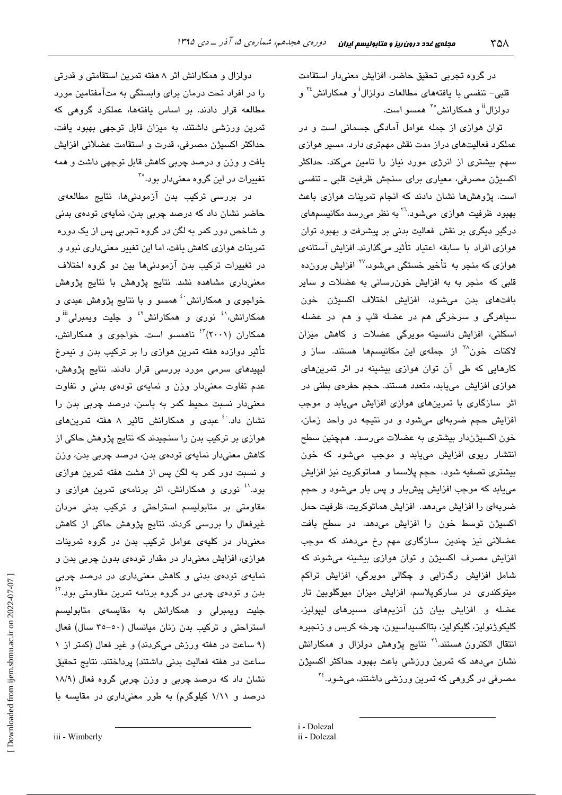در گروه تجربی تحقیق حاضر، افزایش معنیدار استقامت قلبی– تنفسی با یافتههای مطالعات دولزال<sup>i</sup> و همکارانش<sup>۲۶</sup> و دولزال<sup>ii</sup> و همکارانش°<sup>۲</sup> همسو است.

توان هوازی از جمله عوامل آمادگی جسمانی است و در عملکرد فعالیتهای دراز مدت نقش مهمتری دارد. مسیر هوازی سهم بیشتری از انرژی مورد نیاز را تامین میکند. حداکثر اکسیژن مصرفی، معیاری برای سنجش ظرفیت قلبی ـ تنفسی است. پژوهشها نشان دادند که انجام تمرینات هوازی باعث بهبود ظرفت هوازی می شود.<sup>71</sup> به نظر می رسد مکانسیمهای درگیر دیگری بر نقش فعالیت بدنی بر پیشرفت و بهبود توان هوازی افراد با سابقه اعتیاد تأثیر میگذارند. افزایش آستانهی هواز*ی* که منجر به تأخیر خستگی میشود،<sup>۳۷</sup> افزایش برونده قلبی که منجر به به افزایش خون رسانی به عضلات و سایر بافتهای بدن میشود، افزایش اختلاف اکسیژن خون سياهرگي و سرخرگي هم در عضله قلب و هم در عضله اسکلتی، افزایش دانسیته مویرگی عضلات و کاهش میزان لاکتات خون<sup>۳۸</sup> از جمله*ی* این مکانیسمها هستند. ساز و کارهایی که طی آن توان هوازی بیشینه در اثر تمرینهای هوازی افزایش مییابد، متعدد هستند. حجم حفرهی بطنی در اثر سازگاری با تمرینهای هوازی افزایش مییابد و موجب افزایش حجم ضربهای میشود و در نتیجه در واحد زمان، خون اکسیژندار بیشتری به عضلات میرسد. همچنین سطح انتشار ریوی افزایش مییابد و موجب میشود که خون بیشتری تصفیه شود. حجم پلاسما و هماتوکریت نیز افزایش مي يابد که موجب افزايش پيشبار و پس بار مي شود و حجم ضربهای را افزایش میدهد. افزایش هماتوکریت، ظرفیت حمل اکسیژن توسط خون را افزایش میدهد. در سطح بافت عضلانی نیز چندین سازگاری مهم رخ میدهند که موجب افزایش مصرف اکسیژن و توان هوازی بیشینه میشوند که شامل افزایش رگزایی و چگالی مویرگی، افزایش تراکم میتوکندری در سارکوپلاسم، افزایش میزان میوگلوبین تار عضله و افزایش بیان ژن آنزیمهای مسیرهای لیپولیز، گليکوژنوليز، گليکوليز، بٽااکسيداسيون، چرخه کربس و زنجيره انتقال الکترون هستند.<sup>۳۹</sup> نتایج پژوهش دولزال و همکارانش نشان میدهد که تمرین ورزشی باعث بهبود حداکثر اکسیژن مصرفی در گروهی که تمرین ورزش*ی* داشتند، می شود.<sup>۳٤</sup>

i - Dolezal

دولزال و همکارانش اثر ۸ هفته تمرین استقامتی و قدرتی را در افراد تحت درمان برای وابستگی به متآمفتامین مورد مطالعه قرار دادند. بر اساس یافتهها، عملکرد گروهی که تمرین ورزشی داشتند، به میزان قابل توجهی بهبود یافت، حداكثر اكسيژن مصرفي، قدرت و استقامت عضلاني افزايش یافت و وزن و درصد چربی کاهش قابل توجهی داشت و همه تغییرات در این گروه معنیدار بود.<sup>۳</sup>

در بررسی ترکیب بدن آزمودنیها، نتایج مطالعهی حاضر نشان داد که درصد چربی بدن، نمایهی تودهی بدنی و شاخص دور کمر به لگن در گروه تجربی پس از یک دوره تمرینات هوازی کاهش یافت، اما این تغییر معنیداری نبود و در تغییرات ترکیب بدن آزمودنیها بین دو گروه اختلاف معنی داری مشاهده نشد. نتایج پژوهش با نتایج پژوهش خواجوی و همکارانش <sup>،</sup>ٔ همسو و با نتایج پژوهش عبدی و همکارانش،<sup>۱٬</sup> نوری و همکارانش<sup>۶٬</sup> و جلیت ویمبرلی<sup>iii</sup> و همکاران (۲۰۰۱)<sup>٤٢</sup> ناهمسو است. خواجوی و همکارانش، تأثیر دوازده هفته تمرین هوازی را بر ترکیب بدن و نیمرخ لیپیدهای سرمی مورد بررسی قرار دادند. نتایج پژوهش، عدم تفاوت معنى دار وزن و نمايهى تودهى بدنى و تفاوت معنیدار نسبت محیط کمر به باسن، درصد چربی بدن را نشان داد. ٔ عبدی و همکارانش تاثیر ۸ هفته تمرینهای هوازی بر ترکیب بدن را سنجیدند که نتایج پژوهش حاکی از کاهش معنیدار نمایهی تودهی بدن، درصد چربی بدن، وزن و نسبت دور کمر به لگن پس از هشت هفته تمرین هوازی بود.<sup>۱</sup>ْ نوری و همکارانش، اثر برنامهی تمرین هوازی و مقاومتی بر متابولیسم استراحتی و ترکیب بدنی مردان غیرفعال را بررسی کردند. نتایج پژوهش حاکی از کاهش معنیدار در کلیهی عوامل ترکیب بدن در گروه تمرینات هوازی، افزایش معنیدار در مقدار تودهی بدون چربی بدن و نمایهی تودهی بدنی و کاهش معنیداری در درصد چربی بدن و تودهي چربي در گروه برنامه تمرين مقاومتي بود.<sup>؟؛</sup> جلیت ویمبرلی و همکارانش به مقایسهی متابولیسم استراحتی و ترکیب بدن زنان میانسال (٥٠-٣٥ سال) فعال (۹ ساعت در هفته ورزش میکردند) و غیر فعال (کمتر از ۱ ساعت در هفته فعالیت بدنی داشتند) پرداختند. نتایج تحقیق نشان داد که درصد چربی و وزن چربی گروه فعال (۱۸/۹ درصد و ۱/۱۱ کیلوگرم) به طور معنیداری در مقایسه با

Downloaded from ijem.sbmu.ac.ir on 2022-07-07

ii - Dolezal

iii - Wimberly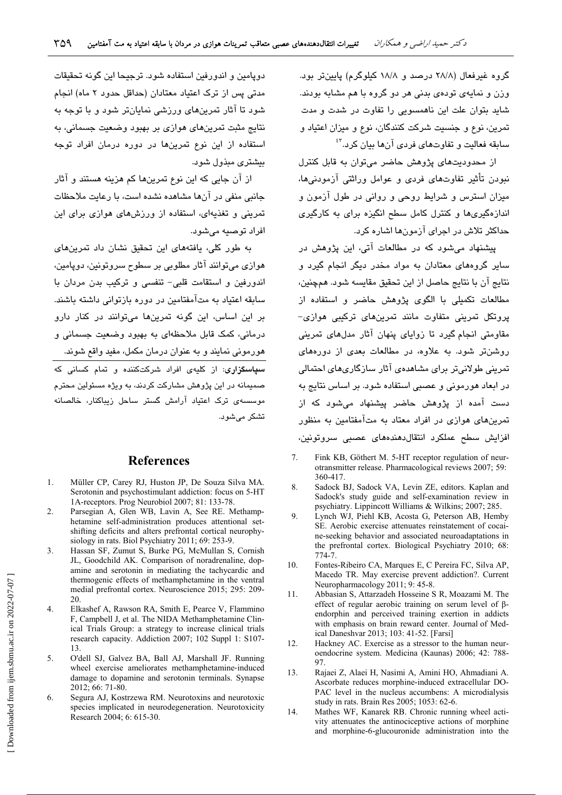گروه غیرفعال (۲۸/۸ درصد و ۱۸/۸ کیلوگرم) پایینتر بود. وزن و نمایهی تودهی بدنی هر دو گروه با هم مشابه بودند. شاید بتوان علت این ناهمسویی را تفاوت در شدت و مدت تمرين، نوع و جنسيت شركت كنندگان، نوع و ميزان اعتياد و سابقه فعالیت و تفاوتهای فردی آنها بیان کرد.<sup>۴</sup>

از محدودیتهای بژوهش حاضر می توان به قابل کنترل نبودن تأثیر تفاوتهای فردی و عوامل وراثتی آزمودنیها، میزان استرس و شرایط روحی و روانی در طول آزمون و اندازهگیریها و کنترل کامل سطح انگیزه برای به کارگیری حداکثر تلاش در اجرای آزمونها اشاره کرد.

پیشنهاد می شود که در مطالعات آتی، این پژوهش در سایر گروههای معتادان به مواد مخدر دیگر انجام گیرد و نتايج آن با نتايج حاصل از اين تحقيق مقايسه شود. همچنين، مطالعات تکمیلی با الگوی پژوهش حاضر و استفاده از بروتکل تمرینی متفاوت مانند تمرینهای ترکیبی هوازی– مقاومتی انجام گیرد تا زوایای پنهان آثار مدلهای تمرینی روشنتر شود. به علاوه، در مطالعات بعدی از دورههای تمرینی طولانیتر پرای مشاهدهی آثار سازگاریهای احتمالی در ابعاد هورمونی و عصبی استفاده شود. بر اساس نتایج به دست آمده از پژوهش حاضر پیشنهاد می شود که از تمرینهای هوازی در افراد معتاد به متآمفتامین به منظور افزایش سطح عملکرد انتقال دهندههای عصبی سروتونین،

- $\overline{7}$ Fink KB, Göthert M. 5-HT receptor regulation of neurotransmitter release. Pharmacological reviews 2007; 59: 360-417.
- 8. Sadock BJ, Sadock VA, Levin ZE, editors. Kaplan and Sadock's study guide and self-examination review in psychiatry. Lippincott Williams & Wilkins; 2007; 285.
- $\alpha$ Lynch WJ, Piehl KB, Acosta G, Peterson AB, Hemby SE. Aerobic exercise attenuates reinstatement of cocaine-seeking behavior and associated neuroadaptations in the prefrontal cortex. Biological Psychiatry 2010; 68: 774-7.
- $10<sup>1</sup>$ Fontes-Ribeiro CA. Marques E. C Pereira FC. Silva AP. Macedo TR. May exercise prevent addiction?. Current Neuropharmacology 2011; 9:45-8.
- $11$ Abbasian S, Attarzadeh Hosseine S R, Moazami M. The effect of regular aerobic training on serum level of  $\beta$ endorphin and perceived training exertion in addicts with emphasis on brain reward center. Journal of Medical Daneshvar 2013; 103: 41-52. [Farsi]
- 12. Hackney AC. Exercise as a stressor to the human neuroendocrine system. Medicina (Kaunas) 2006; 42: 788-97
- 13. Rajaei Z, Alaei H, Nasimi A, Amini HO, Ahmadiani A. Ascorbate reduces morphine-induced extracellular DO-PAC level in the nucleus accumbens: A microdialysis study in rats. Brain Res 2005; 1053: 62-6.
- $14$ Mathes WF, Kanarek RB. Chronic running wheel activity attenuates the antinociceptive actions of morphine and morphine-6-glucouronide administration into the

دويامين و اندورفين استفاده شود. ترجيحا اين گونه تحقيقات مدتی پس از ترک اعتباد معتادان (حداقل حدود ۲ ماه) انحام شود تا آثار تمرینهای ورزشی نمایانتر شود و یا توجه به نتایج مثبت تمرینهای هوازی بر بهبود وضعیت جسمانی، به استفاده از این نوع تمرینها در دوره درمان افراد توجه بیشتری میذول شود.

از آن جايي كه اين نوع تمرينها كم هزينه هستند و آثار جانبی منفی در آنها مشاهده نشده است، با رعایت ملاحظات ۔<br>تمرینی و تغذیهای، استفاده از ورزشهای هوازی برای این افراد توصيه مي شود.

به طور کلی، یافتههای این تحقیق نشان داد تمرینهای هواڻي مي توانند آثار مطلوبي پر سطوح سروتونين، دويامين، اندورفین و استقامت قلبی- تنفسی و ترکیب بدن مردان با سابقه اعتباد به متآمفتامین در دوره بازتوانی داشته باشند. یں این اساس، این گونه تمرینها مےتوانند در کنار دارو درمانی، کمک قابل ملاحظهای به بهبود وضعیت جسمانی و هورمونی نمایند و به عنوان درمان مکمل، مفید واقع شوند. .<br><mark>سیاسگزاری</mark>: از کلیهی افراد شرکتکننده و تمام کسانی که صمیمانه در این پژوهش مشارکت کردند، به ویژه مسئولین محترم موسسەی ترک اعتیاد آرامش گستر ساحل زیباکنار، خالصانه تشکر مے شویہ

## **References**

- $\mathbf{1}$ Müller CP, Carey RJ, Huston JP, De Souza Silva MA, Serotonin and psychostimulant addiction: focus on 5-HT 1A-receptors. Prog Neurobiol 2007; 81: 133-78.
- $\overline{2}$ . Parsegian A, Glen WB, Lavin A, See RE. Methamphetamine self-administration produces attentional setshifting deficits and alters prefrontal cortical neurophysiology in rats. Biol Psychiatry 2011; 69: 253-9.
- $3.$ Hassan SF, Zumut S, Burke PG, McMullan S, Cornish JL, Goodchild AK. Comparison of noradrenaline, dopamine and serotonin in mediating the tachycardic and thermogenic effects of methamphetamine in the ventral medial prefrontal cortex. Neuroscience 2015; 295: 209-20
- Elkashef A, Rawson RA, Smith E, Pearce V, Flammino  $\overline{4}$ F, Campbell J, et al. The NIDA Methamphetamine Clinical Trials Group: a strategy to increase clinical trials research capacity. Addiction 2007; 102 Suppl 1: S107- $13$
- 5. O'dell SJ, Galvez BA, Ball AJ, Marshall JF. Running wheel exercise ameliorates methamphetamine-induced damage to dopamine and serotonin terminals. Synapse 2012; 66: 71-80.
- 6. Segura AJ, Kostrzewa RM. Neurotoxins and neurotoxic species implicated in neurodegeneration. Neurotoxicity Research 2004; 6: 615-30.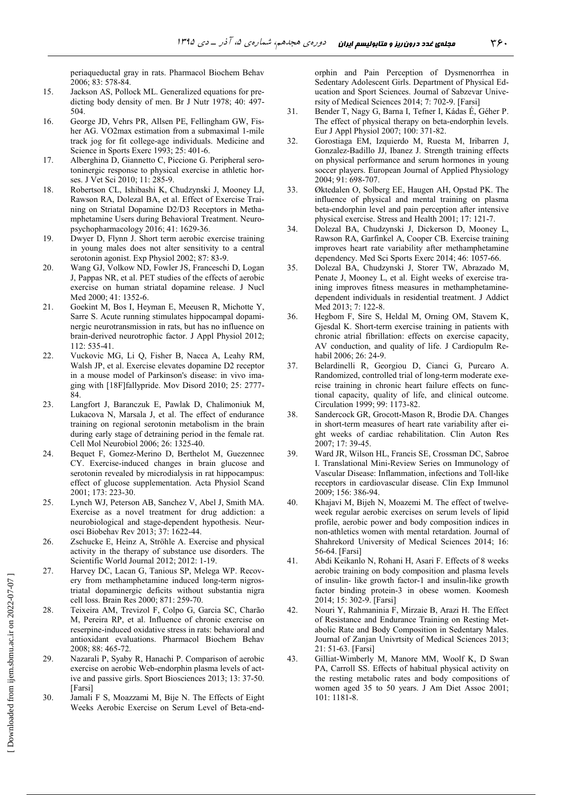periaqueductal gray in rats. Pharmacol Biochem Behav 2006; 83: 578-84.

- 15. Jackson AS, Pollock ML. Generalized equations for predicting body density of men. Br J Nutr 1978; 40: 497- 504.
- 16. George JD, Vehrs PR, Allsen PE, Fellingham GW, Fisher AG. VO2max estimation from a submaximal 1-mile track jog for fit college-age individuals. Medicine and Science in Sports Exerc 1993; 25: 401-6.
- 17. Alberghina D, Giannetto C, Piccione G. Peripheral serotoninergic response to physical exercise in athletic horses. J Vet Sci 2010; 11: 285-9.
- 18. Robertson CL, Ishibashi K, Chudzynski J, Mooney LJ, Rawson RA, Dolezal BA, et al. Effect of Exercise Training on Striatal Dopamine D2/D3 Receptors in Methamphetamine Users during Behavioral Treatment. Neuropsychopharmacology 2016; 41: 1629-36.
- 19. Dwyer D, Flynn J. Short term aerobic exercise training in young males does not alter sensitivity to a central serotonin agonist. Exp Physiol 2002; 87: 83-9.
- 20. Wang GJ, Volkow ND, Fowler JS, Franceschi D, Logan J, Pappas NR, et al. PET studies of the effects of aerobic exercise on human striatal dopamine release. J Nucl Med 2000: 41: 1352-6.
- 21. Goekint M, Bos I, Heyman E, Meeusen R, Michotte Y, Sarre S. Acute running stimulates hippocampal dopaminergic neurotransmission in rats, but has no influence on brain-derived neurotrophic factor. J Appl Physiol 2012; 112: 535-41.
- 22. Vuckovic MG, Li Q, Fisher B, Nacca A, Leahy RM, Walsh JP, et al. Exercise elevates dopamine D2 receptor in a mouse model of Parkinson's disease: in vivo imaging with [18F]fallypride. Mov Disord 2010; 25: 2777- 84.
- 23. Langfort J, Baranczuk E, Pawlak D, Chalimoniuk M, Lukacova N, Marsala J, et al. The effect of endurance training on regional serotonin metabolism in the brain during early stage of detraining period in the female rat. Cell Mol Neurobiol 2006; 26: 1325-40.
- 24. Bequet F, Gomez-Merino D, Berthelot M, Guezennec CY. Exercise-induced changes in brain glucose and serotonin revealed by microdialysis in rat hippocampus: effect of glucose supplementation. Acta Physiol Scand 2001; 173: 223-30.
- 25. Lynch WJ, Peterson AB, Sanchez V, Abel J, Smith MA. Exercise as a novel treatment for drug addiction: a neurobiological and stage-dependent hypothesis. Neurosci Biobehav Rev 2013; 37: 1622-44.
- 26. Zschucke E, Heinz A, Ströhle A. Exercise and physical activity in the therapy of substance use disorders. The Scientific World Journal 2012; 2012: 1-19.
- 27. Harvey DC, Lacan G, Tanious SP, Melega WP. Recovery from methamphetamine induced long-term nigrostriatal dopaminergic deficits without substantia nigra cell loss. Brain Res 2000; 871: 259-70.
- 28. Teixeira AM, Trevizol F, Colpo G, Garcia SC, Charão M, Pereira RP, et al. Influence of chronic exercise on reserpine-induced oxidative stress in rats: behavioral and antioxidant evaluations. Pharmacol Biochem Behav  $2008 \cdot 88 \cdot 465 - 72$
- 29. Nazarali P, Syaby R, Hanachi P. Comparison of aerobic exercise on aerobic Web-endorphin plasma levels of active and passive girls. Sport Biosciences 2013; 13: 37-50. [Farsi]
- 30. Jamali F S, Moazzami M, Bije N. The Effects of Eight Weeks Aerobic Exercise on Serum Level of Beta-end-

orphin and Pain Perception of Dysmenorrhea in Sedentary Adolescent Girls. Department of Physical Education and Sport Sciences. Journal of Sabzevar University of Medical Sciences 2014; 7: 702-9. [Farsi]

- 31. Bender T, Nagy G, Barna I, Tefner I, Kádas É, Géher P. The effect of physical therapy on beta-endorphin levels. Eur J Appl Physiol 2007; 100: 371-82.
- 32. Gorostiaga EM, Izquierdo M, Ruesta M, Iribarren J, Gonzalez-Badillo JJ, Ibanez J. Strength training effects on physical performance and serum hormones in young soccer players. European Journal of Applied Physiology 2004; 91: 698-707.
- 33. Øktedalen O, Solberg EE, Haugen AH, Opstad PK. The influence of physical and mental training on plasma beta-endorphin level and pain perception after intensive physical exercise. Stress and Health 2001; 17: 121-7.
- 34. Dolezal BA, Chudzynski J, Dickerson D, Mooney L, Rawson RA, Garfinkel A, Cooper CB. Exercise training improves heart rate variability after methamphetamine dependency. Med Sci Sports Exerc 2014; 46: 1057-66.
- 35. Dolezal BA, Chudzynski J, Storer TW, Abrazado M, Penate J, Mooney L, et al. Eight weeks of exercise training improves fitness measures in methamphetaminedependent individuals in residential treatment. J Addict Med 2013; 7: 122-8.
- 36. Hegbom F, Sire S, Heldal M, Orning OM, Stavem K, Gjesdal K. Short-term exercise training in patients with chronic atrial fibrillation: effects on exercise capacity, AV conduction, and quality of life. J Cardiopulm Rehabil 2006; 26: 24-9.
- 37. Belardinelli R, Georgiou D, Cianci G, Purcaro A. Randomized, controlled trial of long-term moderate exercise training in chronic heart failure effects on functional capacity, quality of life, and clinical outcome. Circulation 1999; 99: 1173-82.
- 38. Sandercock GR, Grocott-Mason R, Brodie DA. Changes in short-term measures of heart rate variability after eight weeks of cardiac rehabilitation. Clin Auton Res 2007; 17: 39-45.
- 39. Ward JR, Wilson HL, Francis SE, Crossman DC, Sabroe I. Translational Mini-Review Series on Immunology of Vascular Disease: Inflammation, infections and Toll-like receptors in cardiovascular disease. Clin Exp Immunol 2009; 156: 386-94.
- 40. Khajavi M, Bijeh N, Moazemi M. The effect of twelveweek regular aerobic exercises on serum levels of lipid profile, aerobic power and body composition indices in non-athletics women with mental retardation. Journal of Shahrekord University of Medical Sciences 2014; 16: 56-64. [Farsi]
- 41. Abdi Keikanlo N, Rohani H, Asari F. Effects of 8 weeks aerobic training on body composition and plasma levels of insulin- like growth factor-1 and insulin-like growth factor binding protein-3 in obese women. Koomesh 2014; 15: 302-9. [Farsi]
- 42. Nouri Y, Rahmaninia F, Mirzaie B, Arazi H. The Effect of Resistance and Endurance Training on Resting Metabolic Rate and Body Composition in Sedentary Males. Journal of Zanjan Univrtsity of Medical Sciences 2013; 21: 51-63. [Farsi]
- 43. Gilliat-Wimberly M, Manore MM, Woolf K, D Swan PA, Carroll SS. Effects of habitual physical activity on the resting metabolic rates and body compositions of women aged 35 to 50 years. J Am Diet Assoc 2001; 101: 1181-8.